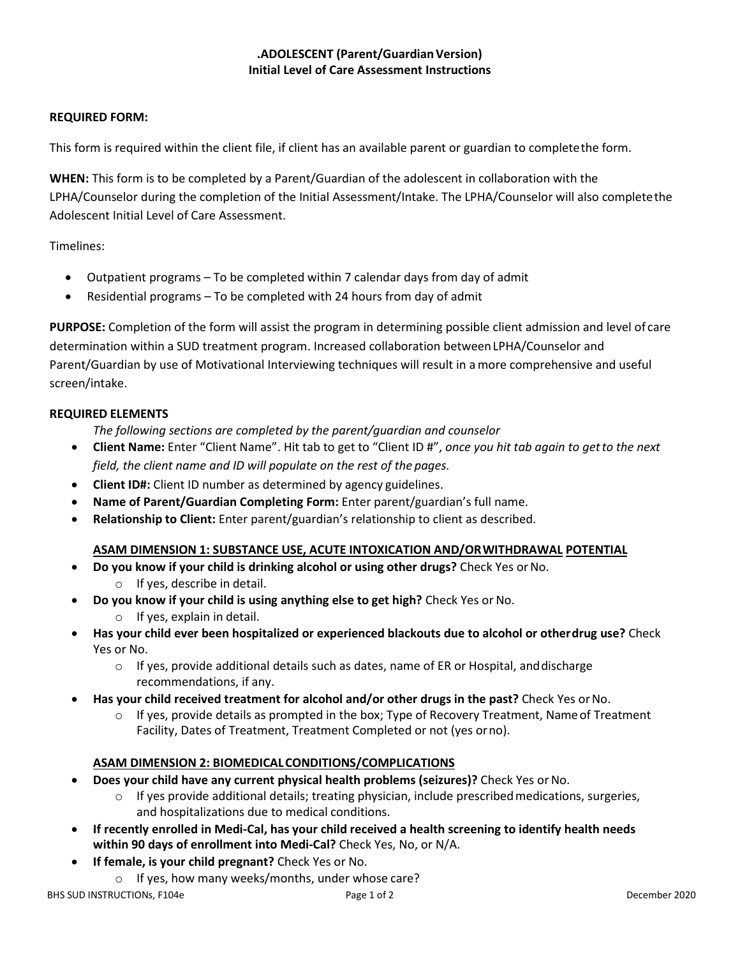# **.ADOLESCENT (Parent/GuardianVersion) Initial Level of Care Assessment Instructions**

#### **REQUIRED FORM:**

This form is required within the client file, if client has an available parent or guardian to completethe form.

**WHEN:** This form is to be completed by a Parent/Guardian of the adolescent in collaboration with the LPHA/Counselor during the completion of the Initial Assessment/Intake. The LPHA/Counselor will also completethe Adolescent Initial Level of Care Assessment.

Timelines:

- Outpatient programs To be completed within 7 calendar days from day of admit
- Residential programs To be completed with 24 hours from day of admit

**PURPOSE:** Completion of the form will assist the program in determining possible client admission and level of care determination within a SUD treatment program. Increased collaboration betweenLPHA/Counselor and Parent/Guardian by use of Motivational Interviewing techniques will result in amore comprehensive and useful screen/intake.

#### **REQUIRED ELEMENTS**

*The following sections are completed by the parent/guardian and counselor*

- **Client Name:** Enter "Client Name". Hit tab to get to "Client ID #", *once you hit tab again to getto the next field, the client name and ID will populate on the rest of the pages.*
- **Client ID#:** Client ID number as determined by agency guidelines.
- **Name of Parent/Guardian Completing Form:** Enter parent/guardian's full name.
- **Relationship to Client:** Enter parent/guardian's relationship to client as described.

#### **ASAM DIMENSION 1: SUBSTANCE USE, ACUTE INTOXICATION AND/ORWITHDRAWAL POTENTIAL**

- **Do you know if your child is drinking alcohol or using other drugs?** Check Yes orNo.
	- o If yes, describe in detail.
- **Do you know if your child is using anything else to get high?** Check Yes or No.
	- o If yes, explain in detail.
- **Has your child ever been hospitalized or experienced blackouts due to alcohol or otherdrug use?** Check Yes or No.
	- $\circ$  If yes, provide additional details such as dates, name of ER or Hospital, and discharge recommendations, if any.
- **Has your child received treatment for alcohol and/or other drugs in the past?** Check Yes orNo.
	- $\circ$  If yes, provide details as prompted in the box; Type of Recovery Treatment, Name of Treatment Facility, Dates of Treatment, Treatment Completed or not (yes orno).

### **ASAM DIMENSION 2: BIOMEDICALCONDITIONS/COMPLICATIONS**

- **Does your child have any current physical health problems (seizures)?** Check Yes orNo.
	- $\circ$  If yes provide additional details; treating physician, include prescribed medications, surgeries, and hospitalizations due to medical conditions.
- **If recently enrolled in Medi-Cal, has your child received a health screening to identify health needs within 90 days of enrollment into Medi-Cal?** Check Yes, No, or N/A.
- **If female, is your child pregnant?** Check Yes or No.
	- o If yes, how many weeks/months, under whose care?